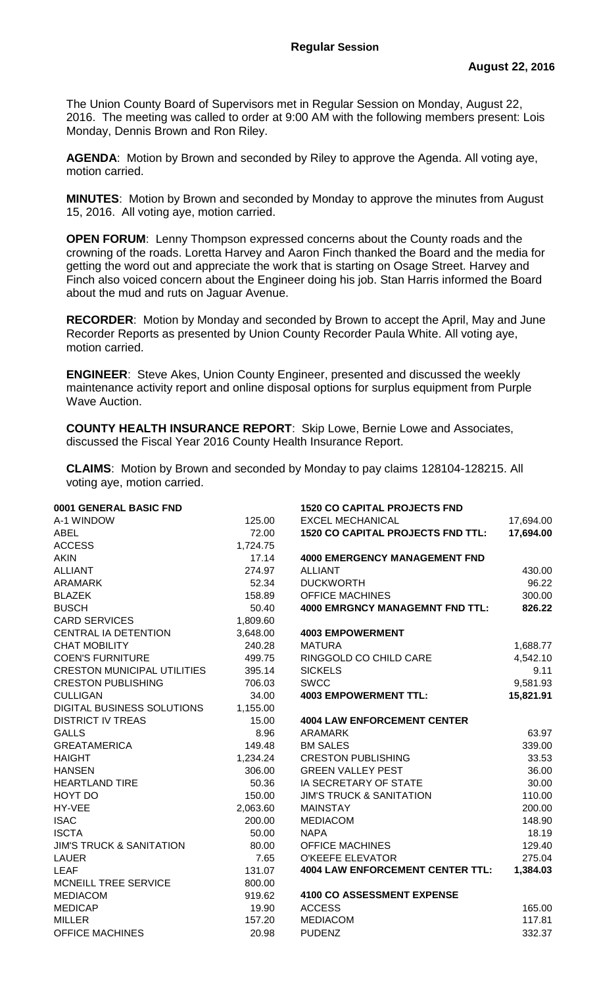The Union County Board of Supervisors met in Regular Session on Monday, August 22, 2016. The meeting was called to order at 9:00 AM with the following members present: Lois Monday, Dennis Brown and Ron Riley.

**AGENDA**: Motion by Brown and seconded by Riley to approve the Agenda. All voting aye, motion carried.

**MINUTES**: Motion by Brown and seconded by Monday to approve the minutes from August 15, 2016. All voting aye, motion carried.

**OPEN FORUM**: Lenny Thompson expressed concerns about the County roads and the crowning of the roads. Loretta Harvey and Aaron Finch thanked the Board and the media for getting the word out and appreciate the work that is starting on Osage Street. Harvey and Finch also voiced concern about the Engineer doing his job. Stan Harris informed the Board about the mud and ruts on Jaguar Avenue.

**RECORDER**: Motion by Monday and seconded by Brown to accept the April, May and June Recorder Reports as presented by Union County Recorder Paula White. All voting aye, motion carried.

**ENGINEER**: Steve Akes, Union County Engineer, presented and discussed the weekly maintenance activity report and online disposal options for surplus equipment from Purple Wave Auction.

**COUNTY HEALTH INSURANCE REPORT**: Skip Lowe, Bernie Lowe and Associates, discussed the Fiscal Year 2016 County Health Insurance Report.

**CLAIMS**: Motion by Brown and seconded by Monday to pay claims 128104-128215. All voting aye, motion carried.

| 0001 GENERAL BASIC FND              |          | <b>1520 CO CAPITAL PROJECTS FND</b>      |           |
|-------------------------------------|----------|------------------------------------------|-----------|
| A-1 WINDOW                          | 125.00   | <b>EXCEL MECHANICAL</b>                  | 17,694.00 |
| <b>ABEL</b>                         | 72.00    | <b>1520 CO CAPITAL PROJECTS FND TTL:</b> | 17,694.00 |
| <b>ACCESS</b>                       | 1,724.75 |                                          |           |
| <b>AKIN</b>                         | 17.14    | <b>4000 EMERGENCY MANAGEMENT FND</b>     |           |
| <b>ALLIANT</b>                      | 274.97   | <b>ALLIANT</b>                           | 430.00    |
| <b>ARAMARK</b>                      | 52.34    | <b>DUCKWORTH</b>                         | 96.22     |
| <b>BLAZEK</b>                       | 158.89   | <b>OFFICE MACHINES</b>                   | 300.00    |
| <b>BUSCH</b>                        | 50.40    | <b>4000 EMRGNCY MANAGEMNT FND TTL:</b>   | 826.22    |
| <b>CARD SERVICES</b>                | 1,809.60 |                                          |           |
| CENTRAL IA DETENTION                | 3,648.00 | <b>4003 EMPOWERMENT</b>                  |           |
| <b>CHAT MOBILITY</b>                | 240.28   | <b>MATURA</b>                            | 1,688.77  |
| <b>COEN'S FURNITURE</b>             | 499.75   | RINGGOLD CO CHILD CARE                   | 4,542.10  |
| <b>CRESTON MUNICIPAL UTILITIES</b>  | 395.14   | <b>SICKELS</b>                           | 9.11      |
| <b>CRESTON PUBLISHING</b>           | 706.03   | <b>SWCC</b>                              | 9,581.93  |
| <b>CULLIGAN</b>                     | 34.00    | <b>4003 EMPOWERMENT TTL:</b>             | 15,821.91 |
| <b>DIGITAL BUSINESS SOLUTIONS</b>   | 1,155.00 |                                          |           |
| <b>DISTRICT IV TREAS</b>            | 15.00    | <b>4004 LAW ENFORCEMENT CENTER</b>       |           |
| <b>GALLS</b>                        | 8.96     | <b>ARAMARK</b>                           | 63.97     |
| <b>GREATAMERICA</b>                 | 149.48   | <b>BM SALES</b>                          | 339.00    |
| <b>HAIGHT</b>                       | 1,234.24 | <b>CRESTON PUBLISHING</b>                | 33.53     |
| <b>HANSEN</b>                       | 306.00   | <b>GREEN VALLEY PEST</b>                 | 36.00     |
| <b>HEARTLAND TIRE</b>               | 50.36    | IA SECRETARY OF STATE                    | 30.00     |
| HOYT DO                             | 150.00   | <b>JIM'S TRUCK &amp; SANITATION</b>      | 110.00    |
| HY-VEE                              | 2,063.60 | <b>MAINSTAY</b>                          | 200.00    |
| <b>ISAC</b>                         | 200.00   | <b>MEDIACOM</b>                          | 148.90    |
| <b>ISCTA</b>                        | 50.00    | <b>NAPA</b>                              | 18.19     |
| <b>JIM'S TRUCK &amp; SANITATION</b> | 80.00    | <b>OFFICE MACHINES</b>                   | 129.40    |
| <b>LAUER</b>                        | 7.65     | <b>O'KEEFE ELEVATOR</b>                  | 275.04    |
| <b>LEAF</b>                         | 131.07   | <b>4004 LAW ENFORCEMENT CENTER TTL:</b>  | 1,384.03  |
| MCNEILL TREE SERVICE                | 800.00   |                                          |           |
| <b>MEDIACOM</b>                     | 919.62   | 4100 CO ASSESSMENT EXPENSE               |           |
| <b>MEDICAP</b>                      | 19.90    | <b>ACCESS</b>                            | 165.00    |
| <b>MILLER</b>                       | 157.20   | <b>MEDIACOM</b>                          | 117.81    |
| <b>OFFICE MACHINES</b>              | 20.98    | <b>PUDENZ</b>                            | 332.37    |